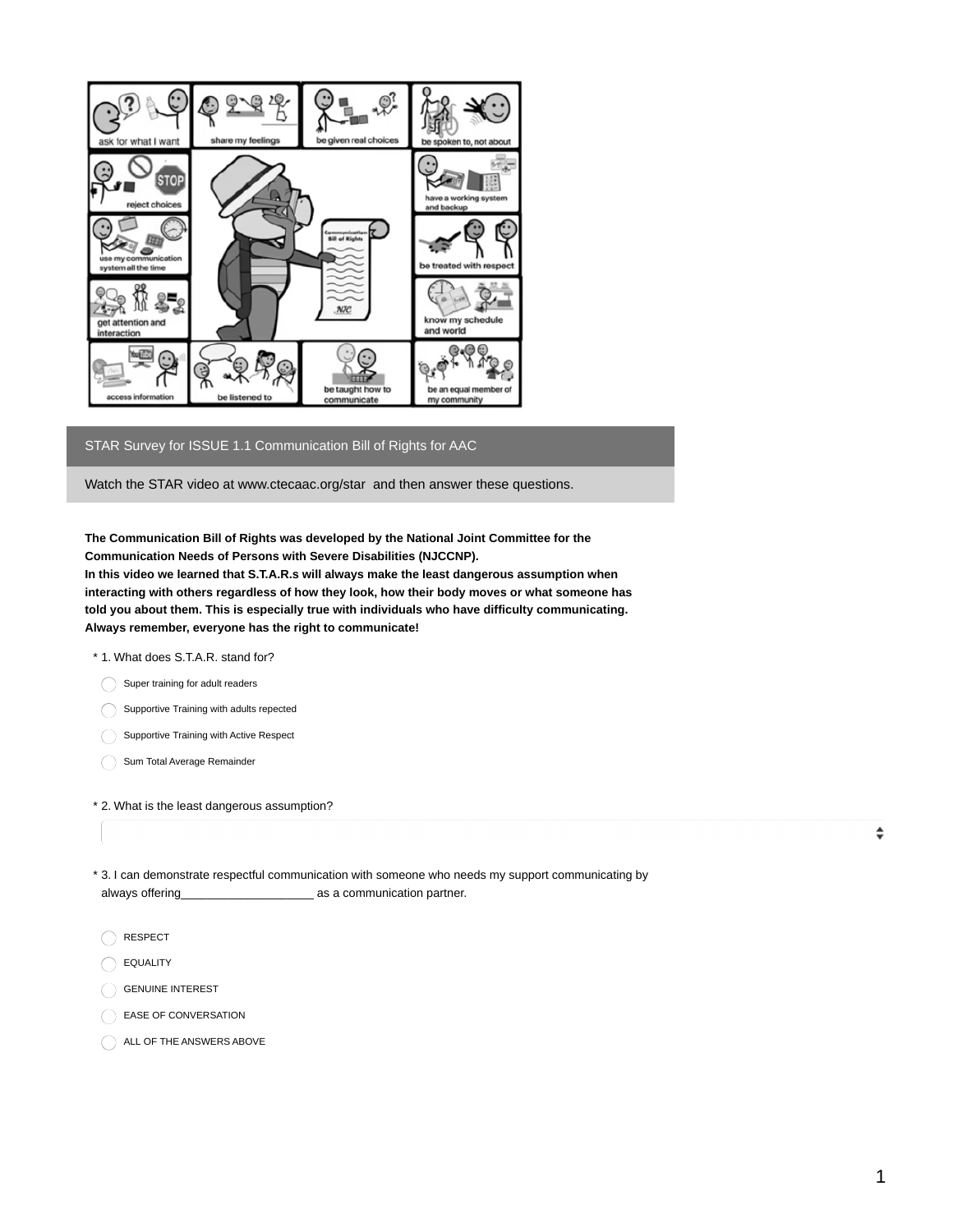

## STAR Survey for ISSUE 1.1 Communication Bill of Rights for AAC

Watch the STAR video at www.ctecaac.org/star and then answer these questions.

**The Communication Bill of Rights was developed by the National Joint Committee for the Communication Needs of Persons with Severe Disabilities (NJCCNP).**

**In this video we learned that S.T.A.R.s will always make the least dangerous assumption when interacting with others regardless of how they look, how their body moves or what someone has told you about them. This is especially true with individuals who have difficulty communicating. Always remember, everyone has the right to communicate!**

- \* 1. What does S.T.A.R. stand for?
	- Super training for adult readers
	- Supportive Training with adults repected
	- Supportive Training with Active Respect
	- Sum Total Average Remainder
- \* 2. What is the least dangerous assumption?
- 3. I can demonstrate respectful communication with someone who needs my support communicating by \* always offering\_\_\_\_\_\_\_\_\_\_\_\_\_\_\_\_\_\_\_\_ as a communication partner.
	- RESPECT
- EQUALITY
- GENUINE INTEREST
- EASE OF CONVERSATION
- ALL OF THE ANSWERS ABOVE

 $\div$